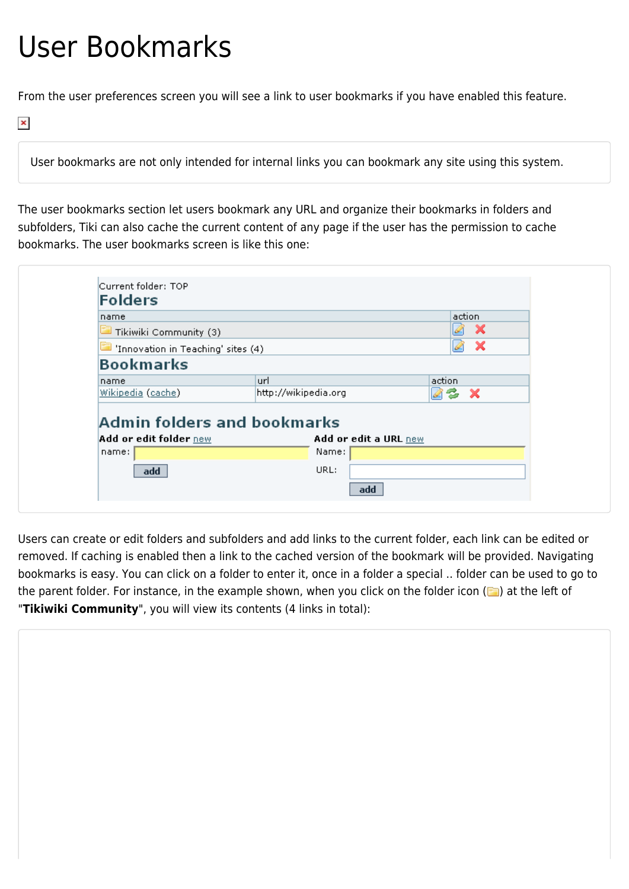## User Bookmarks

From the user preferences screen you will see a link to user bookmarks if you have enabled this feature.

 $\pmb{\times}$ 

User bookmarks are not only intended for internal links you can bookmark any site using this system.

The user bookmarks section let users bookmark any URL and organize their bookmarks in folders and subfolders, Tiki can also cache the current content of any page if the user has the permission to cache bookmarks. The user bookmarks screen is like this one:

| <b>Folders</b>                         |                                |           |
|----------------------------------------|--------------------------------|-----------|
| name                                   |                                | action    |
| $\blacksquare$ Tikiwiki Community (3)  |                                | ×         |
| Innovation in Teaching' sites (4)      |                                | - 76<br>Q |
| <b>Bookmarks</b>                       |                                |           |
| name                                   | url                            | action    |
| Wikipedia (cache)                      | http://wikipedia.org           | 22x       |
|                                        |                                |           |
| Admin folders and bookmarks            |                                |           |
| <b>Add or edit folder new</b><br>name: | Add or edit a URL new<br>Name: |           |
| add                                    | URL:                           |           |

Users can create or edit folders and subfolders and add links to the current folder, each link can be edited or removed. If caching is enabled then a link to the cached version of the bookmark will be provided. Navigating bookmarks is easy. You can click on a folder to enter it, once in a folder a special .. folder can be used to go to the parent folder. For instance, in the example shown, when you click on the folder icon ( $\Box$ ) at the left of "**Tikiwiki Community**", you will view its contents (4 links in total):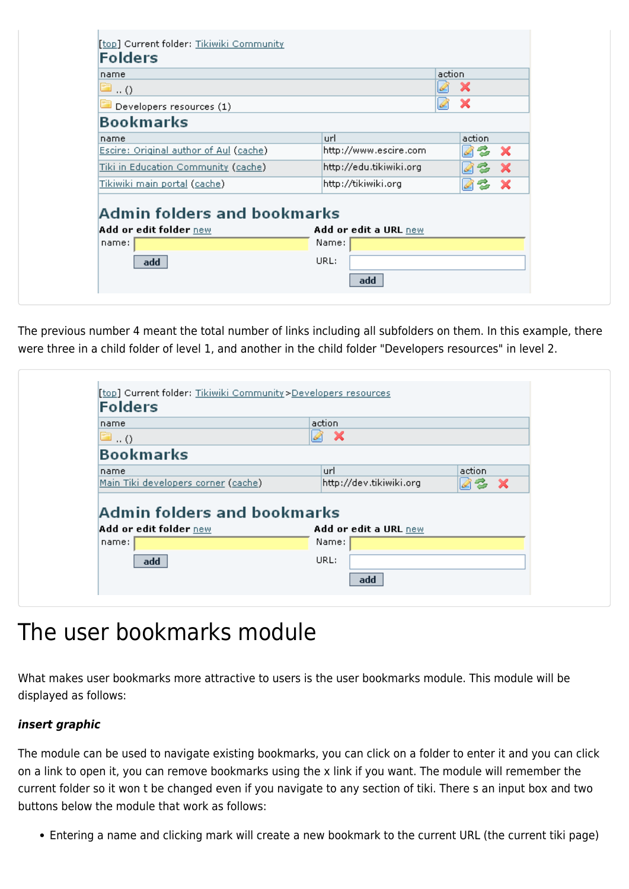| x<br>$\blacksquare$ ( )<br>x<br>Developers resources (1)<br><b>Bookmarks</b><br>action<br>url<br>name<br>Escire: Original author of Aul (cache)<br>http://www.escire.com<br>$\boldsymbol{\mathsf{x}}$<br>z,<br><u> Tiki in Education Community (cache)</u><br>http://edu.tikiwiki.org<br>х<br><u>Tikiwiki main portal (cache)</u><br>http://tikiwiki.org<br>- X<br>-25<br>Admin folders and bookmarks<br>Add or edit folder new<br>Add or edit a URL new<br>Name:<br>name: | name | action |  |
|----------------------------------------------------------------------------------------------------------------------------------------------------------------------------------------------------------------------------------------------------------------------------------------------------------------------------------------------------------------------------------------------------------------------------------------------------------------------------|------|--------|--|
|                                                                                                                                                                                                                                                                                                                                                                                                                                                                            |      |        |  |
|                                                                                                                                                                                                                                                                                                                                                                                                                                                                            |      |        |  |
|                                                                                                                                                                                                                                                                                                                                                                                                                                                                            |      |        |  |
|                                                                                                                                                                                                                                                                                                                                                                                                                                                                            |      |        |  |
|                                                                                                                                                                                                                                                                                                                                                                                                                                                                            |      |        |  |
|                                                                                                                                                                                                                                                                                                                                                                                                                                                                            |      |        |  |
|                                                                                                                                                                                                                                                                                                                                                                                                                                                                            |      |        |  |
|                                                                                                                                                                                                                                                                                                                                                                                                                                                                            |      |        |  |

The previous number 4 meant the total number of links including all subfolders on them. In this example, there were three in a child folder of level 1, and another in the child folder "Developers resources" in level 2.

| <b>Folders</b>                                        |                                |            |
|-------------------------------------------------------|--------------------------------|------------|
| name                                                  | action                         |            |
| $\ldots$ ()                                           | $\boldsymbol{\mathsf{x}}$<br>R |            |
| <b>Bookmarks</b>                                      |                                |            |
| name                                                  | url                            | action     |
| Main Tiki developers corner (cache)                   |                                |            |
|                                                       | http://dev.tikiwiki.org        | 03<br>- 76 |
| Admin folders and bookmarks<br>Add or edit folder new | Add or edit a URL new          |            |
| name:                                                 | Name:                          |            |
| add                                                   | URL:                           |            |

## The user bookmarks module

What makes user bookmarks more attractive to users is the user bookmarks module. This module will be displayed as follows:

## *insert graphic*

The module can be used to navigate existing bookmarks, you can click on a folder to enter it and you can click on a link to open it, you can remove bookmarks using the x link if you want. The module will remember the current folder so it won t be changed even if you navigate to any section of tiki. There s an input box and two buttons below the module that work as follows:

Entering a name and clicking mark will create a new bookmark to the current URL (the current tiki page)